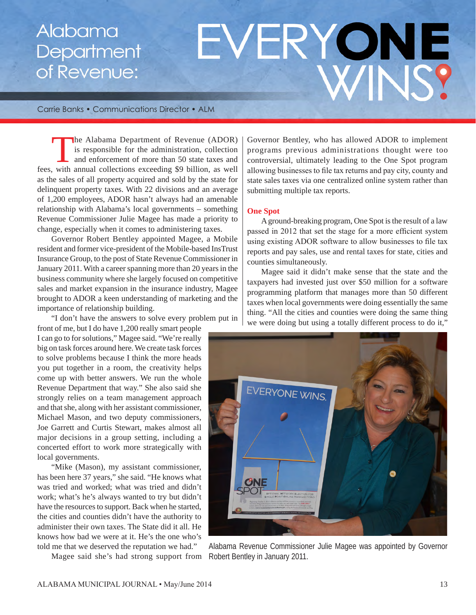# Alabama Department of Revenue:

# EVERYONE WINS?

Carrie Banks • Communications Director • ALM

he Alabama Department of Revenue (ADOR) is responsible for the administration, collection and enforcement of more than 50 state taxes and fees, with annual collections exceeding \$9 billion, as well as the sales of all property acquired and sold by the state for delinquent property taxes. With 22 divisions and an average of 1,200 employees, ADOR hasn't always had an amenable relationship with Alabama's local governments – something Revenue Commissioner Julie Magee has made a priority to change, especially when it comes to administering taxes.

Governor Robert Bentley appointed Magee, a Mobile resident and former vice-president of the Mobile-based InsTrust Insurance Group, to the post of State Revenue Commissioner in January 2011. With a career spanning more than 20 years in the business community where she largely focused on competitive sales and market expansion in the insurance industry, Magee brought to ADOR a keen understanding of marketing and the importance of relationship building.

"I don't have the answers to solve every problem put in

front of me, but I do have 1,200 really smart people I can go to for solutions," Magee said. "We're really big on task forces around here. We create task forces to solve problems because I think the more heads you put together in a room, the creativity helps come up with better answers. We run the whole Revenue Department that way." She also said she strongly relies on a team management approach and that she, along with her assistant commissioner, Michael Mason, and two deputy commissioners, Joe Garrett and Curtis Stewart, makes almost all major decisions in a group setting, including a concerted effort to work more strategically with local governments.

"Mike (Mason), my assistant commissioner, has been here 37 years," she said. "He knows what was tried and worked; what was tried and didn't work; what's he's always wanted to try but didn't have the resources to support. Back when he started, the cities and counties didn't have the authority to administer their own taxes. The State did it all. He knows how bad we were at it. He's the one who's told me that we deserved the reputation we had."

Magee said she's had strong support from

Governor Bentley, who has allowed ADOR to implement programs previous administrations thought were too controversial, ultimately leading to the One Spot program allowing businesses to file tax returns and pay city, county and state sales taxes via one centralized online system rather than submitting multiple tax reports.

#### **One Spot**

A ground-breaking program, One Spot is the result of a law passed in 2012 that set the stage for a more efficient system using existing ADOR software to allow businesses to file tax reports and pay sales, use and rental taxes for state, cities and counties simultaneously.

Magee said it didn't make sense that the state and the taxpayers had invested just over \$50 million for a software programming platform that manages more than 50 different taxes when local governments were doing essentially the same thing. "All the cities and counties were doing the same thing we were doing but using a totally different process to do it,"



Alabama Revenue Commissioner Julie Magee was appointed by Governor Robert Bentley in January 2011.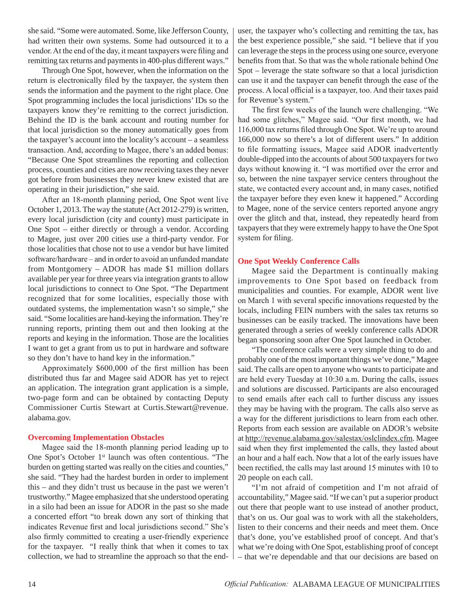she said. "Some were automated. Some, like Jefferson County, had written their own systems. Some had outsourced it to a vendor. At the end of the day, it meant taxpayers were filing and remitting tax returns and payments in 400-plus different ways."

Through One Spot, however, when the information on the return is electronically filed by the taxpayer, the system then sends the information and the payment to the right place. One Spot programming includes the local jurisdictions' IDs so the taxpayers know they're remitting to the correct jurisdiction. Behind the ID is the bank account and routing number for that local jurisdiction so the money automatically goes from the taxpayer's account into the locality's account – a seamless transaction. And, according to Magee, there's an added bonus: "Because One Spot streamlines the reporting and collection process, counties and cities are now receiving taxes they never got before from businesses they never knew existed that are operating in their jurisdiction," she said.

After an 18-month planning period, One Spot went live October 1, 2013. The way the statute (Act 2012-279) is written, every local jurisdiction (city and county) must participate in One Spot – either directly or through a vendor. According to Magee, just over 200 cities use a third-party vendor. For those localities that chose not to use a vendor but have limited software/hardware – and in order to avoid an unfunded mandate from Montgomery – ADOR has made \$1 million dollars available per year for three years via integration grants to allow local jurisdictions to connect to One Spot. "The Department recognized that for some localities, especially those with outdated systems, the implementation wasn't so simple," she said. "Some localities are hand-keying the information. They're running reports, printing them out and then looking at the reports and keying in the information. Those are the localities I want to get a grant from us to put in hardware and software so they don't have to hand key in the information."

Approximately \$600,000 of the first million has been distributed thus far and Magee said ADOR has yet to reject an application. The integration grant application is a simple, two-page form and can be obtained by contacting Deputy Commissioner Curtis Stewart at Curtis.Stewart@revenue. alabama.gov.

#### **Overcoming Implementation Obstacles**

Magee said the 18-month planning period leading up to One Spot's October 1<sup>st</sup> launch was often contentious. "The burden on getting started was really on the cities and counties," she said. "They had the hardest burden in order to implement this – and they didn't trust us because in the past we weren't trustworthy." Magee emphasized that she understood operating in a silo had been an issue for ADOR in the past so she made a concerted effort "to break down any sort of thinking that indicates Revenue first and local jurisdictions second." She's also firmly committed to creating a user-friendly experience for the taxpayer. "I really think that when it comes to tax collection, we had to streamline the approach so that the enduser, the taxpayer who's collecting and remitting the tax, has the best experience possible," she said. "I believe that if you can leverage the steps in the process using one source, everyone benefits from that. So that was the whole rationale behind One Spot – leverage the state software so that a local jurisdiction can use it and the taxpayer can benefit through the ease of the process. A local official is a taxpayer, too. And their taxes paid for Revenue's system."

The first few weeks of the launch were challenging. "We had some glitches," Magee said. "Our first month, we had 116,000 tax returns filed through One Spot. We're up to around 166,000 now so there's a lot of different users." In addition to file formatting issues, Magee said ADOR inadvertently double-dipped into the accounts of about 500 taxpayers for two days without knowing it. "I was mortified over the error and so, between the nine taxpayer service centers throughout the state, we contacted every account and, in many cases, notified the taxpayer before they even knew it happened." According to Magee, none of the service centers reported anyone angry over the glitch and that, instead, they repeatedly heard from taxpayers that they were extremely happy to have the One Spot system for filing.

#### **One Spot Weekly Conference Calls**

Magee said the Department is continually making improvements to One Spot based on feedback from municipalities and counties. For example, ADOR went live on March 1 with several specific innovations requested by the locals, including FEIN numbers with the sales tax returns so businesses can be easily tracked. The innovations have been generated through a series of weekly conference calls ADOR began sponsoring soon after One Spot launched in October.

"The conference calls were a very simple thing to do and probably one of the most important things we've done," Magee said. The calls are open to anyone who wants to participate and are held every Tuesday at 10:30 a.m. During the calls, issues and solutions are discussed. Participants are also encouraged to send emails after each call to further discuss any issues they may be having with the program. The calls also serve as a way for the different jurisdictions to learn from each other. Reports from each session are available on ADOR's website at http://revenue.alabama.gov/salestax/oslclindex.cfm. Magee said when they first implemented the calls, they lasted about an hour and a half each. Now that a lot of the early issues have been rectified, the calls may last around 15 minutes with 10 to 20 people on each call.

"I'm not afraid of competition and I'm not afraid of accountability," Magee said. "If we can't put a superior product out there that people want to use instead of another product, that's on us. Our goal was to work with all the stakeholders, listen to their concerns and their needs and meet them. Once that's done, you've established proof of concept. And that's what we're doing with One Spot, establishing proof of concept – that we're dependable and that our decisions are based on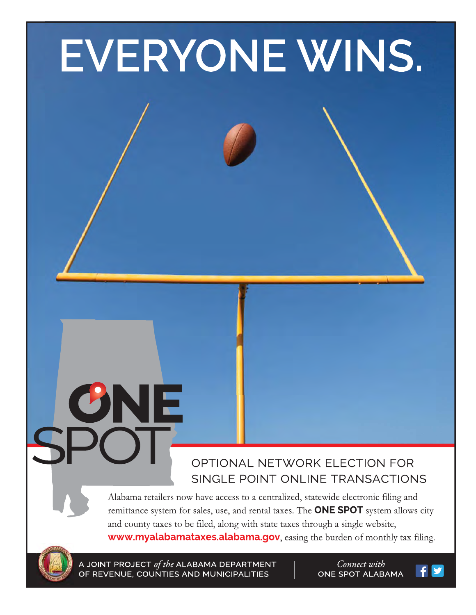# EVERYONE WINS.

### OPTIONAL NETWORK ELECTION FOR SINGLE POINT ONLINE TRANSACTIONS

Alabama retailers now have access to a centralized, statewide electronic filing and remittance system for sales, use, and rental taxes. The **ONE SPOT** system allows city and county taxes to be filed, along with state taxes through a single website, www.myalabamataxes.alabama.gov, easing the burden of monthly tax filing.

JOINT PROJECT of the ALABAMA DEPARTMENT OF REVENUE, COUNTIES AND MUNICIPALITIES

ONE

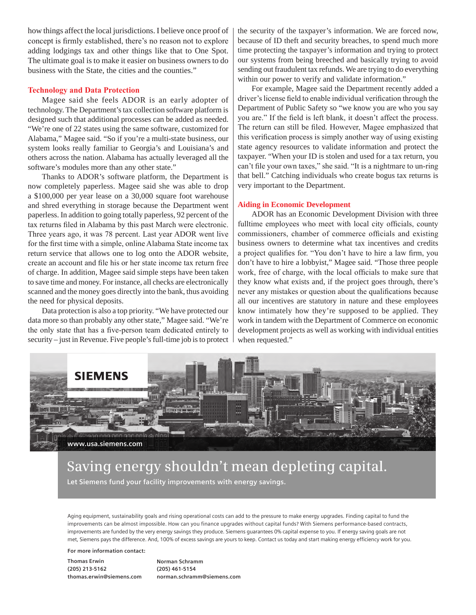how things affect the local jurisdictions. I believe once proof of concept is firmly established, there's no reason not to explore adding lodgings tax and other things like that to One Spot. The ultimate goal is to make it easier on business owners to do business with the State, the cities and the counties."

#### **Technology and Data Protection**

Magee said she feels ADOR is an early adopter of technology. The Department's tax collection software platform is designed such that additional processes can be added as needed. "We're one of 22 states using the same software, customized for Alabama," Magee said. "So if you're a multi-state business, our system looks really familiar to Georgia's and Louisiana's and others across the nation. Alabama has actually leveraged all the software's modules more than any other state."

Thanks to ADOR's software platform, the Department is now completely paperless. Magee said she was able to drop a \$100,000 per year lease on a 30,000 square foot warehouse and shred everything in storage because the Department went paperless. In addition to going totally paperless, 92 percent of the tax returns filed in Alabama by this past March were electronic. Three years ago, it was 78 percent. Last year ADOR went live for the first time with a simple, online Alabama State income tax return service that allows one to log onto the ADOR website, create an account and file his or her state income tax return free of charge. In addition, Magee said simple steps have been taken to save time and money. For instance, all checks are electronically scanned and the money goes directly into the bank, thus avoiding the need for physical deposits.

Data protection is also a top priority. "We have protected our data more so than probably any other state," Magee said. "We're the only state that has a five-person team dedicated entirely to security – just in Revenue. Five people's full-time job is to protect the security of the taxpayer's information. We are forced now, because of ID theft and security breaches, to spend much more time protecting the taxpayer's information and trying to protect our systems from being breeched and basically trying to avoid sending out fraudulent tax refunds. We are trying to do everything within our power to verify and validate information."

For example, Magee said the Department recently added a driver's license field to enable individual verification through the Department of Public Safety so "we know you are who you say you are." If the field is left blank, it doesn't affect the process. The return can still be filed. However, Magee emphasized that this verification process is simply another way of using existing state agency resources to validate information and protect the taxpayer. "When your ID is stolen and used for a tax return, you can't file your own taxes," she said. "It is a nightmare to un-ring that bell." Catching individuals who create bogus tax returns is very important to the Department.

#### **Aiding in Economic Development**

ADOR has an Economic Development Division with three fulltime employees who meet with local city officials, county commissioners, chamber of commerce officials and existing business owners to determine what tax incentives and credits a project qualifies for. "You don't have to hire a law firm, you don't have to hire a lobbyist," Magee said. "Those three people work, free of charge, with the local officials to make sure that they know what exists and, if the project goes through, there's never any mistakes or question about the qualifications because all our incentives are statutory in nature and these employees know intimately how they're supposed to be applied. They work in tandem with the Department of Commerce on economic development projects as well as working with individual entities when requested."



## **Saving energy shouldn't mean depleting capital.**

**Let Siemens fund your facility improvements with energy savings.**

Aging equipment, sustainability goals and rising operational costs can add to the pressure to make energy upgrades. Finding capital to fund the improvements can be almost impossible. How can you finance upgrades without capital funds? With Siemens performance-based contracts, improvements are funded by the very energy savings they produce. Siemens guarantees 0% capital expense to you. If energy saving goals are not met, Siemens pays the difference. And, 100% of excess savings are yours to keep. Contact us today and start making energy efficiency work for you.

**For more information contact:** 

**Thomas Erwin (205) 213-5162 thomas.erwin@siemens.com** **Norman Schramm (205) 461-5154 norman.schramm@siemens.com**